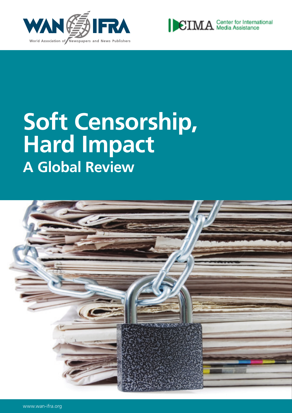



# **Soft Censorship, Hard Impact A Global Review**

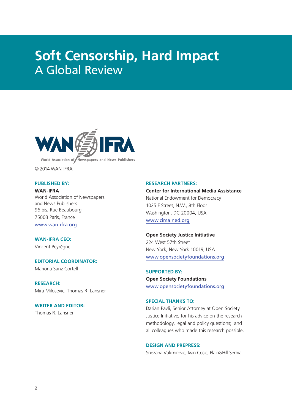## **Soft Censorship, Hard Impact** A Global Review



© 2014 WAN-IFRA

#### **PUBLISHED BY:**

**WAN-IFRA** World Association of Newspapers and News Publishers 96 bis, Rue Beaubourg 75003 Paris, France www.wan-ifra.org

**WAN-IFRA CEO:** Vincent Peyrègne

#### **EDITORIAL COORDINATOR:**

Mariona Sanz Cortell

#### **RESEARCH:** Mira Milosevic, Thomas R. Lansner

#### **WRITER AND EDITOR:**

Thomas R. Lansner

#### **RESEARCH PARTNERS:**

**Center for International Media Assistance** National Endowment for Democracy 1025 F Street, N.W., 8th Floor Washington, DC 20004, USA www.cima.ned.org

#### **Open Society Justice Initiative**

224 West 57th Street New York, New York 10019, USA www.opensocietyfoundations.org

**SUPPORTED BY: Open Society Foundations** www.opensocietyfoundations.org

#### **SPECIAL THANKS TO:**

Darian Pavli, Senior Attorney at Open Society Justice Initiative, for his advice on the research methodology, legal and policy questions; and all colleagues who made this research possible.

#### **DESIGN AND PREPRESS:**

Snezana Vukmirovic, Ivan Cosic, [Plain&Hill Serbia](http://fb.me/plainandhill)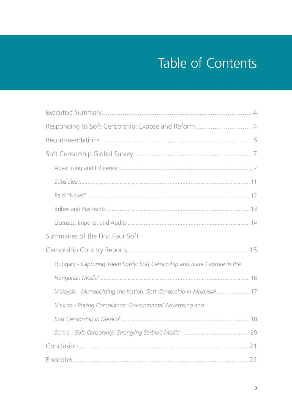## Table of Contents

| Responding to Soft Censorship: Expose and Reform  4                             |  |
|---------------------------------------------------------------------------------|--|
|                                                                                 |  |
|                                                                                 |  |
|                                                                                 |  |
|                                                                                 |  |
|                                                                                 |  |
|                                                                                 |  |
|                                                                                 |  |
| Summaries of the First Four Soft                                                |  |
|                                                                                 |  |
| Hungary - Capturing Them Softly: Soft Censorship and State Capture in the       |  |
|                                                                                 |  |
| Malaysia - Monopolizing the Nation: Soft Censorship in Malaysia <sup>2</sup> 17 |  |
| Mexico - Buying Compliance: Governmental Advertising and                        |  |
|                                                                                 |  |
|                                                                                 |  |
|                                                                                 |  |
|                                                                                 |  |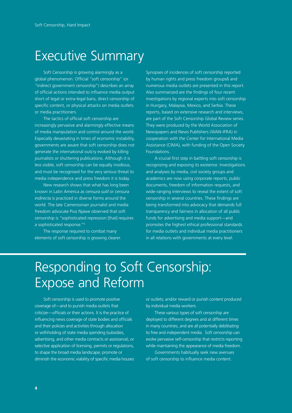## <span id="page-3-0"></span>Executive Summary

Soft Censorship is growing alarmingly as a global phenomenon. Official "soft censorship" (or "indirect government censorship") describes an array of official actions intended to influence media output short of legal or extra-legal bans, direct censorship of specific content, or physical attacks on media outlets or media practitioners.

The tactics of official soft censorship are increasingly pervasive and alarmingly effective means of media manipulation and control around the world. Especially devastating in times of economic instability, governments are aware that soft censorship does not generate the international outcry evoked by killing journalists or shuttering publications. Although it is less visible, soft censorship can be equally insidious, and must be recognised for the very serious threat to media independence and press freedom it is today.

New research shows that what has long been known in Latin America as *censura sutil* or *censura indirecta* is practiced in diverse forms around the world. The late Cameroonian journalist and media freedom advocate Pius Njawe observed that soft censorship is "sophisticated repression [that] requires a sophisticated response."5

The response required to combat many elements of soft censorship is growing clearer.

Synopses of incidences of soft censorship reported by human rights and press freedom groups6 and numerous media outlets are presented in this report. Also summarized are the findings of four recent investigations by regional experts into soft censorship in Hungary, Malaysia, Mexico, and Serbia. These reports, based on extensive research and interviews, are part of the Soft Censorship Global Review series. They were produced by the World Association of Newspapers and News Publishers (WAN-IFRA) in cooperation with the Center for International Media Assistance (CIMA), with funding of the Open Society Foundations.

A crucial first step in battling soft censorship is recognizing and exposing its existence. Investigations and analyses by media, civil society groups and academics are now using corporate reports, public documents, freedom of information requests, and wide-ranging interviews to reveal the extent of soft censorship in several countries. These findings are being transformed into advocacy that demands full transparency and fairness in allocation of all public funds for advertising and media support—and promotes the highest ethical professional standards for media outlets and individual media practitioners in all relations with governments at every level.

## Responding to Soft Censorship: Expose and Reform

Soft censorship is used to promote positive coverage of—and to punish media outlets that criticize—officials or their actions. It is the practice of influencing news coverage of state bodies and officials and their policies and activities through allocation or withholding of state media spending (subsidies, advertising, and other media contracts or assistance), or selective application of licensing, permits or regulations, to shape the broad media landscape; promote or diminish the economic viability of specific media houses or outlets; and/or reward or punish content produced by individual media workers.

These various types of soft censorship are deployed to different degrees and at different times in many countries, and are all potentially debilitating to free and independent media. Soft censorship can evoke pervasive self-censorship that restricts reporting while maintaining the appearance of media freedom.

Governments habitually seek new avenues of soft censorship to influence media content.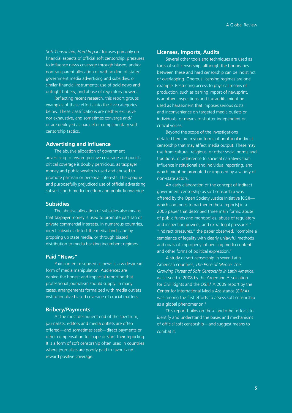*Soft Censorship, Hard Impact* focuses primarily on financial aspects of official soft censorship: pressures to influence news coverage through biased, and/or nontransparent allocation or withholding of state/ government media advertising and subsidies, or similar financial instruments; use of paid news and outright bribery; and abuse of regulatory powers.

Reflecting recent research, this report groups examples of these efforts into the five categories below. These classifications are neither exclusive nor exhaustive, and sometimes converge and/ or are deployed as parallel or complimentary soft censorship tactics.

#### **Advertising and influence**

The abusive allocation of government advertising to reward positive coverage and punish critical coverage is doubly pernicious, as taxpayer money and public wealth is used and abused to promote partisan or personal interests. The opaque and purposefully prejudiced use of official advertising subverts both media freedom and public knowledge.

#### **Subsidies**

The abusive allocation of subsidies also means that taxpayer money is used to promote partisan or private commercial interests. In numerous countries, direct subsidies distort the media landscape by propping up state media, or through biased distribution to media backing incumbent regimes.

#### **Paid "News"**

Paid content disguised as news is a widespread form of media manipulation. Audiences are denied the honest and impartial reporting that professional journalism should supply. In many cases, arrangements formalized with media outlets institutionalize biased coverage of crucial matters.

#### **Bribery/Payments**

At the most delinguent end of the spectrum. journalists, editors and media outlets are often offered—and sometimes seek—direct payments or other compensation to shape or slant their reporting. It is a form of soft censorship often used in countries where journalists are poorly paid to favour and reward positive coverage.

#### **Licenses, Imports, Audits**

Several other tools and techniques are used as tools of soft censorship, although the boundaries between these and hard censorship can be indistinct or overlapping. Onerous licensing regimes are one example. Restricting access to physical means of production, such as barring import of newsprint, is another. Inspections and tax audits might be used as harassment that imposes serious costs and inconvenience on targeted media outlets or individuals, or means to shutter independent or critical voices.

Beyond the scope of the investigations detailed here are myriad forms of unofficial indirect censorship that may affect media output. These may rise from cultural, religious, or other social norms and traditions, or adherence to societal narratives that influence institutional and individual reporting, and which might be promoted or imposed by a variety of non-state actors.

An early elaboration of the concept of indirect government censorship as soft censorship was offered by the Open Society Justice Initiative [OSJI which continues to partner in these reportsl in a 2005 paper that described three main forms: abuse of public funds and monopolies, abuse of regulatory and inspection powers, and extra-legal pressures.<sup>7</sup> "Indirect pressures," the paper observed, "combine a semblance of legality with clearly unlawful methods and goals of improperly influencing media content and other forms of political expression."

A study of soft censorship in seven Latin American countries, *The Price of Silence: The Growing Threat of Soft Censorship in Latin America,* was issued in 2008 by the Argentine Association for Civil Rights and the OSJI.<sup>8</sup> A 2009 report by the Center for International Media Assistance (CIMA) was among the first efforts to assess soft censorship as a global phenomenon $9$ 

This report builds on these and other efforts to identify and understand the bases and mechanisms of official soft censorship—and suggest means to combat it.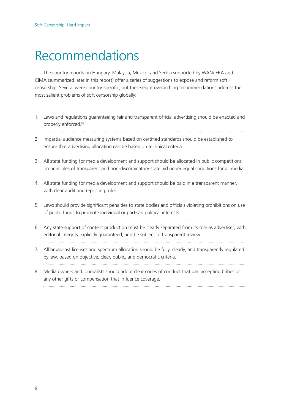## <span id="page-5-0"></span>Recommendations

The country reports on Hungary, Malaysia, Mexico, and Serbia supported by WAN/IFRA and CIMA (summarized later in this report) offer a series of suggestions to expose and reform soft censorship. Several were country-specific, but these eight overarching recommendations address the most salient problems of soft censorship globally:

1. Laws and regulations guaranteeing fair and transparent official advertising should be enacted and properly enforced.10

- 2. Impartial audience measuring systems based on certified standards should be established to ensure that advertising allocation can be based on technical criteria.
- 3. All state funding for media development and support should be allocated in public competitions on principles of transparent and non-discriminatory state aid under equal conditions for all media.
- 4. All state funding for media development and support should be paid in a transparent manner, with clear audit and reporting rules.
- 5. Laws should provide significant penalties to state bodies and officials violating prohibitions on use of public funds to promote individual or partisan political interests.

- 6. Any state support of content production must be clearly separated from its role as advertiser, with editorial integrity explicitly guaranteed, and be subject to transparent review.
- 7. All broadcast licenses and spectrum allocation should be fully, clearly, and transparently regulated by law, based on objective, clear, public, and democratic criteria.

8. Media owners and journalists should adopt clear codes of conduct that ban accepting bribes or any other gifts or compensation that influence coverage.

 $\mathcal{L}(\mathcal{L}(\mathcal{L}(\mathcal{L}(\mathcal{L}(\mathcal{L}(\mathcal{L}(\mathcal{L}(\mathcal{L}(\mathcal{L}(\mathcal{L}(\mathcal{L}(\mathcal{L}(\mathcal{L}(\mathcal{L}(\mathcal{L}(\mathcal{L}(\mathcal{L}(\mathcal{L}(\mathcal{L}(\mathcal{L}(\mathcal{L}(\mathcal{L}(\mathcal{L}(\mathcal{L}(\mathcal{L}(\mathcal{L}(\mathcal{L}(\mathcal{L}(\mathcal{L}(\mathcal{L}(\mathcal{L}(\mathcal{L}(\mathcal{L}(\mathcal{L}(\mathcal{L}(\mathcal{$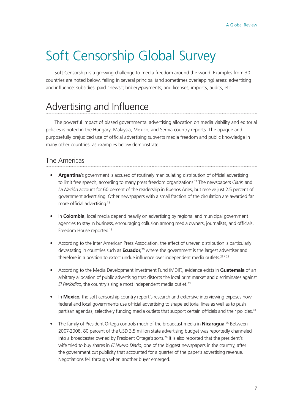## <span id="page-6-0"></span>Soft Censorship Global Survey

Soft Censorship is a growing challenge to media freedom around the world. Examples from 30 countries are noted below, falling in several principal (and sometimes overlapping) areas: advertising and influence; subsidies; paid "news"; bribery/payments; and licenses, imports, audits, etc.

### Advertising and Influence

The powerful impact of biased governmental advertising allocation on media viability and editorial policies is noted in the Hungary, Malaysia, Mexico, and Serbia country reports. The opaque and purposefully prejudiced use of official advertising subverts media freedom and public knowledge in many other countries, as examples below demonstrate.

#### The Americas

- **Argentina**'s government is accused of routinely manipulating distribution of official advertising to limit free speech, according to many press freedom organizations.17 The newspapers *Clarín* and *La Nación* account for 60 percent of the readership in Buenos Aries, but receive just 2.5 percent of government advertising. Other newspapers with a small fraction of the circulation are awarded far more official advertising.18
- In **Colombia**, local media depend heavily on advertising by regional and municipal government agencies to stay in business, encouraging collusion among media owners, journalists, and officials, Freedom House reported.19
- According to the Inter American Press Association, the effect of uneven distribution is particularly devastating in countries such as **Ecuador,**20 where the government is the largest advertiser and therefore in a position to extort undue influence over independent media outlets.<sup>21/22</sup>
- According to the Media Development Investment Fund (MDIF), evidence exists in **Guatemala** of an arbitrary allocation of public advertising that distorts the local print market and discriminates against *El Periódico*, the country's single most independent media outlet.<sup>23</sup>
- In **Mexico**, the soft censorship country report's research and extensive interviewing exposes how federal and local governments use official advertising to shape editorial lines as well as to push partisan agendas, selectively funding media outlets that support certain officials and their policies.<sup>24</sup>
- The family of President Ortega controls much of the broadcast media in **Nicaragua**.<sup>25</sup> Between 2007-2008, 80 percent of the USD 3.5 million state advertising budget was reportedly channeled into a broadcaster owned by President Ortega's sons.<sup>26</sup> It is also reported that the president's wife tried to buy shares in *El Nuevo Diario*, one of the biggest newspapers in the country, after the government cut publicity that accounted for a quarter of the paper's advertising revenue. Negotiations fell through when another buyer emerged.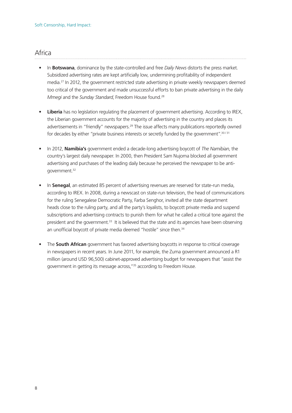#### Africa

- • In **Botswana**, dominance by the state-controlled and free *Daily News* distorts the press market. Subsidized advertising rates are kept artificially low, undermining profitability of independent media.27 In 2012, the government restricted state advertising in private weekly newspapers deemed too critical of the government and made unsuccessful efforts to ban private advertising in the daily *Mmegi* and the *Sunday Standard*, Freedom House found.28
- **Liberia** has no legislation regulating the placement of government advertising. According to IREX, the Liberian government accounts for the majority of advertising in the country and places its advertisements in "friendly" newspapers.<sup>29</sup> The issue affects many publications reportedly owned for decades by either "private business interests or secretly funded by the government".<sup>30/31</sup>
- • In 2012, **Namibia's** government ended a decade-long advertising boycott of *The Namibian*, the country's largest daily newspaper. In 2000, then President Sam Nujoma blocked all government advertising and purchases of the leading daily because he perceived the newspaper to be antigovernment.<sup>32</sup>
- In **Senegal**, an estimated 85 percent of advertising revenues are reserved for state-run media, according to IREX. In 2008, during a newscast on state-run television, the head of communications for the ruling Senegalese Democratic Party, Farba Senghor, invited all the state department heads close to the ruling party, and all the party's loyalists, to boycott private media and suspend subscriptions and advertising contracts to punish them for what he called a critical tone against the president and the government.<sup>33</sup> It is believed that the state and its agencies have been observing an unofficial boycott of private media deemed "hostile" since then.<sup>34</sup>
- The **South African** government has favored advertising boycotts in response to critical coverage in newspapers in recent years. In June 2011, for example, the Zuma government announced a R1 million (around USD 96,500) cabinet-approved advertising budget for newspapers that "assist the government in getting its message across,"35 according to Freedom House.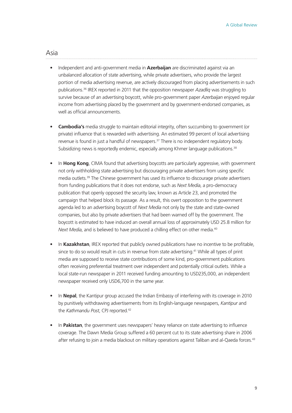#### Asia

- • Independent and anti-government media in **Azerbaijan** are discriminated against via an unbalanced allocation of state advertising, while private advertisers, who provide the largest portion of media advertising revenue, are actively discouraged from placing advertisements in such publications.36 IREX reported in 2011 that the opposition newspaper *Azadliq* was struggling to survive because of an advertising boycott, while pro-government paper *Azerbaijan* enjoyed regular income from advertising placed by the government and by government-endorsed companies, as well as official announcements.
- **Cambodia's** media struggle to maintain editorial integrity, often succumbing to government (or private) influence that is rewarded with advertising. An estimated 99 percent of local advertising revenue is found in just a handful of newspapers.<sup>37</sup> There is no independent regulatory body. Subsidizing news is reportedly endemic, especially among Khmer language publications.<sup>38</sup>
- In Hong Kong, CIMA found that advertising boycotts are particularly aggressive, with government not only withholding state advertising but discouraging private advertisers from using specific media outlets.39 The Chinese government has used its influence to discourage private advertisers from funding publications that it does not endorse, such as *Next Media*, a pro-democracy publication that openly opposed the security law, known as Article 23, and promoted the campaign that helped block its passage. As a result, this overt opposition to the government agenda led to an advertising boycott of *Next Media* not only by the state and state-owned companies, but also by private advertisers that had been warned off by the government. The boycott is estimated to have induced an overall annual loss of approximately USD 25.8 million for *Next Media*, and is believed to have produced a chilling effect on other media.40
- In **Kazakhstan**, IREX reported that publicly owned publications have no incentive to be profitable, since to do so would result in cuts in revenue from state advertising.<sup>41</sup> While all types of print media are supposed to receive state contributions of some kind, pro-government publications often receiving preferential treatment over independent and potentially critical outlets. While a local state-run newspaper in 2011 received funding amounting to USD235,000, an independent newspaper received only USD6,700 in the same year.
- In **Nepal**, the Kantipur group accused the Indian Embassy of interfering with its coverage in 2010 by punitively withdrawing advertisements from its English-language newspapers, *Kantipur* and the *Kathmandu Post*, CPJ reported.42
- In **Pakistan**, the government uses newspapers' heavy reliance on state advertising to influence coverage. The Dawn Media Group suffered a 60 percent cut to its state advertising share in 2006 after refusing to join a media blackout on military operations against Taliban and al-Qaeda forces.<sup>43</sup>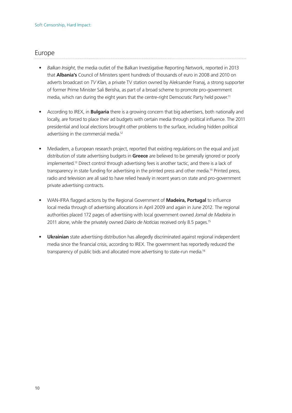#### Europe

- *• Balkan Insight*, the media outlet of the Balkan Investigative Reporting Network, reported in 2013 that **Albania's** Council of Ministers spent hundreds of thousands of euro in 2008 and 2010 on adverts broadcast on *TV Klan*, a private TV station owned by Aleksander Franaj, a strong supporter of former Prime Minister Sali Berisha, as part of a broad scheme to promote pro-government media, which ran during the eight years that the centre-right Democratic Party held power.<sup>11</sup>
- According to IREX, in **Bulgaria** there is a growing concern that big advertisers, both nationally and locally, are forced to place their ad budgets with certain media through political influence. The 2011 presidential and local elections brought other problems to the surface, including hidden political advertising in the commercial media.12
- Mediadem, a European research project, reported that existing regulations on the equal and just distribution of state advertising budgets in **Greece** are believed to be generally ignored or poorly implemented.13 Direct control through advertising fees is another tactic, and there is a lack of transparency in state funding for advertising in the printed press and other media.14 Printed press, radio and television are all said to have relied heavily in recent years on state and pro-government private advertising contracts.
- WAN-IFRA flagged actions by the Regional Government of **Madeira, Portugal** to influence local media through of advertising allocations in April 2009 and again in June 2012. The regional authorities placed 172 pages of advertising with local government owned *Jornal de Madeira* in 2011 alone, while the privately owned *Diário de Notícias* received only 8.5 pages.15
- **Ukrainian** state advertising distribution has allegedly discriminated against regional independent media since the financial crisis, according to IREX. The government has reportedly reduced the transparency of public bids and allocated more advertising to state-run media.16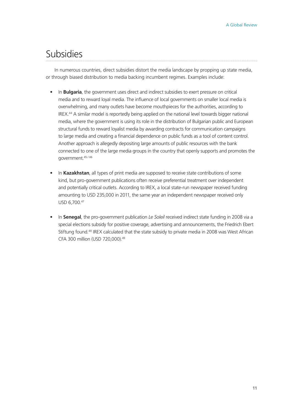### <span id="page-10-0"></span>**Subsidies**

In numerous countries, direct subsidies distort the media landscape by propping up state media, or through biased distribution to media backing incumbent regimes. Examples include:

- In **Bulgaria**, the government uses direct and indirect subsidies to exert pressure on critical media and to reward loyal media. The influence of local governments on smaller local media is overwhelming, and many outlets have become mouthpieces for the authorities, according to IREX.44 A similar model is reportedly being applied on the national level towards bigger national media, where the government is using its role in the distribution of Bulgarian public and European structural funds to reward loyalist media by awarding contracts for communication campaigns to large media and creating a financial dependence on public funds as a tool of content control. Another approach is allegedly depositing large amounts of public resources with the bank connected to one of the large media groups in the country that openly supports and promotes the government.45 / 46
- In **Kazakhstan**, all types of print media are supposed to receive state contributions of some kind, but pro-government publications often receive preferential treatment over independent and potentially critical outlets. According to IREX, a local state-run newspaper received funding amounting to USD 235,000 in 2011, the same year an independent newspaper received only USD 6,700.47
- In Senegal, the pro-government publication Le Soleil received indirect state funding in 2008 via a special elections subsidy for positive coverage, advertising and announcements, the Friedrich Ebert Stiftung found.48 IREX calculated that the state subsidy to private media in 2008 was West African CFA 300 million (USD 720,000).49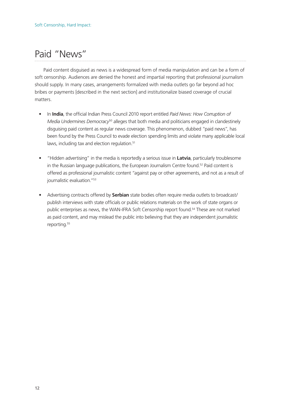## <span id="page-11-0"></span>Paid "News"

Paid content disguised as news is a widespread form of media manipulation and can be a form of soft censorship. Audiences are denied the honest and impartial reporting that professional journalism should supply. In many cases, arrangements formalized with media outlets go far beyond ad hoc bribes or payments [described in the next section] and institutionalize biased coverage of crucial matters.

- • In **India**, the official Indian Press Council 2010 report entitled *Paid News: How Corruption of Media Undermines Democracy*50 alleges that both media and politicians engaged in clandestinely disguising paid content as regular news coverage. This phenomenon, dubbed "paid news", has been found by the Press Council to evade election spending limits and violate many applicable local laws, including tax and election regulation.<sup>51</sup>
- • "Hidden advertising" in the media is reportedly a serious issue in **Latvia**, particularly troublesome in the Russian language publications, the European Journalism Centre found.<sup>52</sup> Paid content is offered as professional journalistic content "against pay or other agreements, and not as a result of journalistic evaluation."53
- Advertising contracts offered by **Serbian** state bodies often require media outlets to broadcast/ publish interviews with state officials or public relations materials on the work of state organs or public enterprises as news, the WAN-IFRA Soft Censorship report found.<sup>54</sup> These are not marked as paid content, and may mislead the public into believing that they are independent journalistic reporting.<sup>55</sup>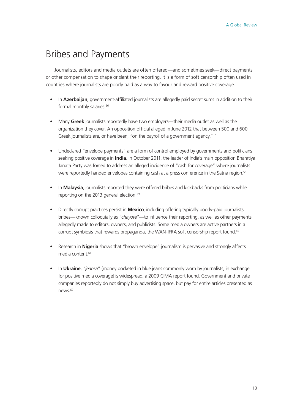### <span id="page-12-0"></span>Bribes and Payments

Journalists, editors and media outlets are often offered—and sometimes seek—direct payments or other compensation to shape or slant their reporting. It is a form of soft censorship often used in countries where journalists are poorly paid as a way to favour and reward positive coverage.

- In **Azerbaijan**, government-affiliated journalists are allegedly paid secret sums in addition to their formal monthly salaries.<sup>56</sup>
- Many Greek journalists reportedly have two employers—their media outlet as well as the organization they cover. An opposition official alleged in June 2012 that between 500 and 600 Greek journalists are, or have been, "on the payroll of a government agency."<sup>57</sup>
- Undeclared "envelope payments" are a form of control employed by governments and politicians seeking positive coverage in **India**. In October 2011, the leader of India's main opposition Bharatiya Janata Party was forced to address an alleged incidence of "cash for coverage" where journalists were reportedly handed envelopes containing cash at a press conference in the Satna region.<sup>58</sup>
- In **Malaysia**, journalists reported they were offered bribes and kickbacks from politicians while reporting on the 2013 general election.59
- • Directly corrupt practices persist in **Mexico**, including offering typically poorly-paid journalists bribes—known colloquially as "*chayote*"—to influence their reporting, as well as other payments allegedly made to editors, owners, and publicists. Some media owners are active partners in a corrupt symbiosis that rewards propaganda, the WAN-IFRA soft censorship report found.<sup>60</sup>
- Research in **Nigeria** shows that "brown envelope" journalism is pervasive and strongly affects media content.<sup>61</sup>
- In **Ukraine**, "*jeansa*" (money pocketed in blue jeans commonly worn by journalists, in exchange for positive media coverage) is widespread, a 2009 CIMA report found. Government and private companies reportedly do not simply buy advertising space, but pay for entire articles presented as news.62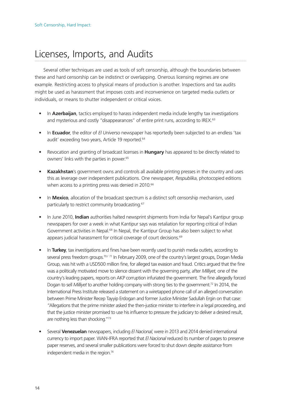### <span id="page-13-0"></span>Licenses, Imports, and Audits

Several other techniques are used as tools of soft censorship, although the boundaries between these and hard censorship can be indistinct or overlapping. Onerous licensing regimes are one example. Restricting access to physical means of production is another. Inspections and tax audits might be used as harassment that imposes costs and inconvenience on targeted media outlets or individuals, or means to shutter independent or critical voices.

- In **Azerbaijan**, tactics employed to harass independent media include lengthy tax investigations and mysterious and costly "disappearances" of entire print runs, according to IREX.<sup>63</sup>
- • In **Ecuador**, the editor of *El Universo* newspaper has reportedly been subjected to an endless 'tax audit' exceeding two years, Article 19 reported.<sup>64</sup>
- • Revocation and granting of broadcast licenses in **Hungary** has appeared to be directly related to owners' links with the parties in power.65
- **Kazakhstan**'s government owns and controls all available printing presses in the country and uses this as leverage over independent publications. One newspaper, *Respublika*, photocopied editions when access to a printing press was denied in 2010.<sup>66</sup>
- In **Mexico**, allocation of the broadcast spectrum is a distinct soft censorship mechanism, used particularly to restrict community broadcasting.<sup>67</sup>
- In June 2010, **Indian** authorities halted newsprint shipments from India for Nepal's Kantipur group newspapers for over a week in what Kantipur says was retaliation for reporting critical of Indian Government activities in Nepal.68 In Nepal, the Kantipur Group has also been subject to what appears judicial harassment for critical coverage of court decisions.<sup>69</sup>
- In **Turkey**, tax investigations and fines have been recently used to punish media outlets, according to several press freedom groups.<sup>70/71</sup> In February 2009, one of the country's largest groups, Dogan Media Group, was hit with a USD500 million fine, for alleged tax evasion and fraud. Critics argued that the fine was a politically motivated move to silence dissent with the governing party, after *Milliyet,* one of the country's leading papers, reports on AKP corruption infuriated the government. The fine allegedly forced Dogan to sell *Milliyet* to another holding company with strong ties to the government.72 In 2014, the International Press Institute released a statement on a wiretapped phone call of an alleged conversation between Prime Minister Recep Tayyip Erdogan and former Justice Minister Sadullah Ergin on that case: "Allegations that the prime minister asked the then-justice minister to interfere in a legal proceeding, and that the justice minister promised to use his influence to pressure the judiciary to deliver a desired result, are nothing less than shocking."73
- Several **Venezuelan** newspapers, including *El Nacional*, were in 2013 and 2014 denied international currency to import paper. WAN-IFRA reported that *El Nacional* reduced its number of pages to preserve paper reserves, and several smaller publications were forced to shut down despite assistance from independent media in the region.<sup>74</sup>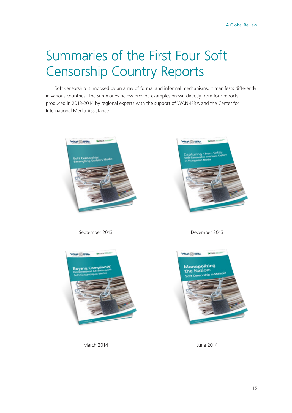## <span id="page-14-0"></span>Summaries of the First Four Soft Censorship Country Reports

Soft censorship is imposed by an array of formal and informal mechanisms. It manifests differently in various countries. The summaries below provide examples drawn directly from four reports produced in 2013-2014 by regional experts with the support of WAN-IFRA and the Center for International Media Assistance.







June 2014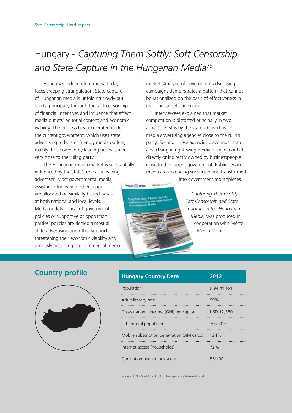## <span id="page-15-0"></span>Hungary - *Capturing Them Softly: Soft Censorship and State Capture in the Hungarian Media*<sup>75</sup>

Hungary's independent media today faces creeping strangulation. State capture of Hungarian media is unfolding slowly but surely, principally through the soft censorship of financial incentives and influence that affect media outlets' editorial content and economic viability. The process has accelerated under the current government, which uses state advertising to bolster friendly media outlets, mainly those owned by leading businessmen very close to the ruling party.

The Hungarian media market is substantially influenced by the state's role as a leading advertiser. Most governmental media **WANGINERA** assistance funds and other support are allocated on similarly biased bases at both national and local levels. Media outlets critical of government policies or supportive of opposition parties' policies are denied almost all state advertising and other support, threatening their economic viability and seriously distorting the commercial media

market. Analysis of government advertising campaigns demonstrates a pattern that cannot be rationalized on the basis of effectiveness in reaching target audiences.

Interviewees explained that market competition is distorted principally in two aspects. First is by the state's biased use of media advertising agencies close to the ruling party. Second, these agencies place most state advertising in right-wing media or media outlets directly or indirectly owned by businesspeople close to the current government. Public service media are also being subverted and transformed

into government mouthpieces.

*Capturing Them Softly:*  ring Them Softly *Soft Censorship and State Capture in the Hungarian Media,* was produced in cooperation with Mérték Media Monitor.

#### **Country profile**



| <b>Hungary Country Data</b>                 | 2012         |
|---------------------------------------------|--------------|
| Population                                  | 9.94 million |
| Adult literacy rate                         | 99%          |
| Gross national income (GNI) per capita      | USD 12.380   |
| Urban/rural population                      | 70/30%       |
| Mobile subscription penetration (SIM cards) | 124%         |
| Internet access (households)                | 72%          |
| Corruption perceptions score                | 55/100       |

Source: UN, World Bank, ITU, Transparency International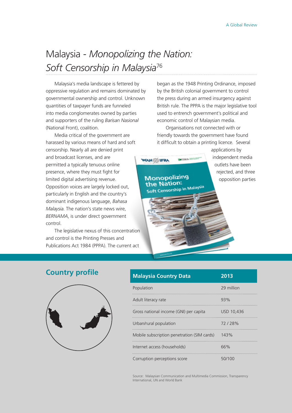### <span id="page-16-0"></span>Malaysia - *Monopolizing the Nation: Soft Censorship in Malaysia*<sup>76</sup>

Malaysia's media landscape is fettered by oppressive regulation and remains dominated by governmental ownership and control. Unknown quantities of taxpayer funds are funneled into media conglomerates owned by parties and supporters of the ruling *Barisan Nasional*  (National Front), coalition.

Media critical of the government are harassed by various means of hard and soft censorship. Nearly all are denied print and broadcast licenses, and are permitted a typically tenuous online presence, where they must fight for limited digital advertising revenue. Opposition voices are largely locked out, particularly in English and the country's dominant indigenous language, *Bahasa Malaysia*. The nation's state news wire, *BERNAMA*, is under direct government control.

The legislative nexus of this concentration and control is the Printing Presses and Publications Act 1984 (PPPA). The current act

began as the 1948 Printing Ordinance, imposed by the British colonial government to control the press during an armed insurgency against British rule. The PPPA is the major legislative tool used to entrench government's political and economic control of Malaysian media.

Organisations not connected with or friendly towards the government have found it difficult to obtain a printing licence. Several



applications by independent media outlets have been rejected, and three opposition parties

#### **Country profile**



| <b>Malaysia Country Data</b>                | 2013       |
|---------------------------------------------|------------|
| Population                                  | 29 million |
| Adult literacy rate                         | 93%        |
| Gross national income (GNI) per capita      | USD 10.436 |
| Urban/rural population                      | 72/28%     |
| Mobile subscription penetration (SIM cards) | 143%       |
| Internet access (households)                | 66%        |
| Corruption perceptions score                | 50/100     |

Source: Malaysian Communication and Multimedia Commission, Transparency International, UN and World Bank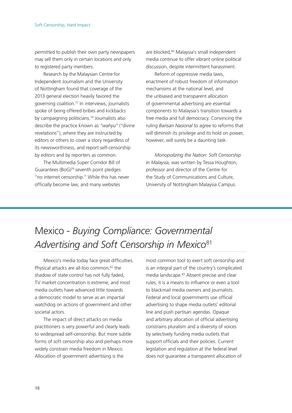<span id="page-17-0"></span>permitted to publish their own party newspapers may sell them only in certain locations and only to registered party members.

Research by the Malaysian Centre for Independent Journalism and the University of Nottingham found that coverage of the 2013 general election heavily favored the governing coalition.77 In interviews, journalists spoke of being offered bribes and kickbacks by campaigning politicians.78 Journalists also describe the practice known as *"wahyu"* ("divine revelations"), where they are instructed by editors or others to cover a story regardless of its newsworthiness, and report self-censorship by editors and by reporters as common.

The Multimedia Super Corridor Bill of Guarantees (BoG)79 seventh point pledges "no internet censorship." While this has never officially become law, and many websites

are blocked, 80 Malaysia's small independent media continue to offer vibrant online political discussion, despite intermittent harassment.

Reform of oppressive media laws, enactment of robust freedom of information mechanisms at the national level, and the unbiased and transparent allocation of governmental advertising are essential components to Malaysia's transition towards a free media and full democracy. Convincing the ruling *Barisan Nasional* to agree to reforms that will diminish its privilege and its hold on power, however, will surely be a daunting task.

*Monopolizing the Nation: Soft Censorship in Malaysia*, was written by Tessa Houghton, professor and director of the Centre for the Study of Communications and Culture, University of Nottingham Malaysia Campus.

### Mexico - *Buying Compliance: Governmental Advertising and Soft Censorship in Mexico*<sup>81</sup>

Mexico's media today face great difficulties. Physical attacks are all-too common, <sup>82</sup> the shadow of state control has not fully faded, TV market concentration is extreme, and most media outlets have advanced little towards a democratic model to serve as an impartial watchdog on actions of government and other societal actors.

The impact of direct attacks on media practitioners is very powerful and clearly leads to widespread self-censorship. But more subtle forms of soft censorship also and perhaps more widely constrain media freedom in Mexico. Allocation of government advertising is the

most common tool to exert soft censorship and is an integral part of the country's complicated media landscape.<sup>83</sup> Absent precise and clear rules, it is a means to influence or even a tool to blackmail media owners and journalists. Federal and local governments use official advertising to shape media outlets' editorial line and push partisan agendas. Opaque and arbitrary allocation of official advertising constrains pluralism and a diversity of voices by selectively funding media outlets that support officials and their policies. Current legislation and regulation at the federal level does not guarantee a transparent allocation of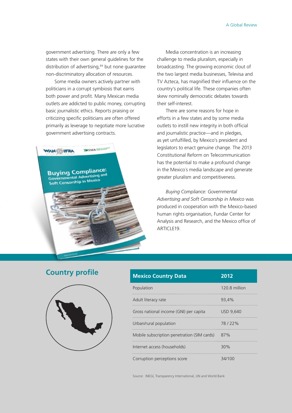government advertising. There are only a few states with their own general guidelines for the distribution of advertising,<sup>84</sup> but none guarantee non-discriminatory allocation of resources.

Some media owners actively partner with politicians in a corrupt symbiosis that earns both power and profit. Many Mexican media outlets are addicted to public money, corrupting basic journalistic ethics. Reports praising or criticizing specific politicians are often offered primarily as leverage to negotiate more lucrative government advertising contracts.



Media concentration is an increasing challenge to media pluralism, especially in broadcasting. The growing economic clout of the two largest media businesses, Televisa and TV Azteca, has magnified their influence on the country's political life. These companies often skew nominally democratic debates towards their self-interest.

There are some reasons for hope in efforts in a few states and by some media outlets to instill new integrity in both official and journalistic practice—and in pledges, as yet unfulfilled, by Mexico's president and legislators to enact genuine change. The 2013 Constitutional Reform on Telecommunication has the potential to make a profound change in the Mexico´s media landscape and generate greater pluralism and competitiveness.

*Buying Compliance: Governmental Advertising and Soft Censorship in Mexico* was produced in cooperation with the Mexico-based human rights organisation, Fundar Center for Analysis and Research, and the Mexico office of ARTICLE19.

### **Country profile**



| <b>Mexico Country Data</b>                  | 2012          |
|---------------------------------------------|---------------|
| Population                                  | 120.8 million |
| Adult literacy rate                         | 93.4%         |
| Gross national income (GNI) per capita      | USD 9.640     |
| Urban/rural population                      | 78/22%        |
| Mobile subscription penetration (SIM cards) | 87%           |
| Internet access (households)                | 30%           |
| Corruption perceptions score                | 34/100        |

Source: INEGI, Transparency International, UN and World Bank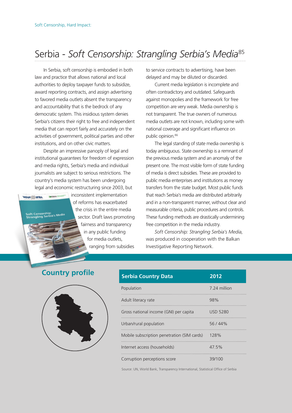### <span id="page-19-0"></span>Serbia - *Soft Censorship: Strangling Serbia's Media*<sup>85</sup>

In Serbia, soft censorship is embodied in both law and practice that allows national and local authorities to deploy taxpayer funds to subsidize, award reporting contracts, and assign advertising to favored media outlets absent the transparency and accountability that is the bedrock of any democratic system. This insidious system denies Serbia's citizens their right to free and independent media that can report fairly and accurately on the activities of government, political parties and other institutions, and on other civic matters.

Despite an impressive panoply of legal and institutional guarantees for freedom of expression and media rights, Serbia's media and individual journalists are subject to serious restrictions. The country's media system has been undergoing legal and economic restructuring since 2003, but

**WASH OS NEW** 

inconsistent implementation of reforms has exacerbated the crisis in the entire media sector. Draft laws promoting fairness and transparency in any public funding for media outlets, ranging from subsidies

to service contracts to advertising, have been delayed and may be diluted or discarded.

Current media legislation is incomplete and often contradictory and outdated. Safeguards against monopolies and the framework for free competition are very weak. Media ownership is not transparent. The true owners of numerous media outlets are not known, including some with national coverage and significant influence on public opinion.<sup>86</sup>

The legal standing of state media ownership is today ambiguous. State ownership is a remnant of the previous media system and an anomaly of the present one. The most visible form of state funding of media is direct subsidies. These are provided to public media enterprises and institutions as money transfers from the state budget. Most public funds that reach Serbia's media are distributed arbitrarily and in a non-transparent manner, without clear and measurable criteria, public procedures and controls. These funding methods are drastically undermining free competition in the media industry.

*Soft Censorship: Strangling Serbia's Media*, was produced in cooperation with the Balkan Investigative Reporting Network.

#### **Country profile**



| <b>Serbia Country Data</b>                  | 2012         |
|---------------------------------------------|--------------|
| Population                                  | 7.24 million |
| Adult literacy rate                         | 98%          |
| Gross national income (GNI) per capita      | USD 5280     |
| Urban/rural population                      | 56/44%       |
| Mobile subscription penetration (SIM cards) | 128%         |
| Internet access (households)                | 47 5%        |
| Corruption perceptions score                | 39/100       |

Source: UN, World Bank, Transparency International, Statistical Office of Serbia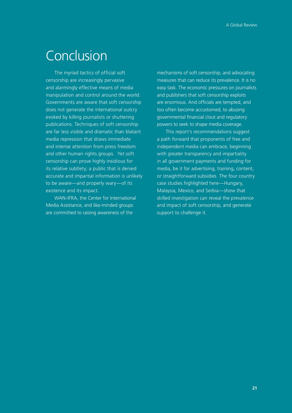## <span id="page-20-0"></span>Conclusion

The myriad tactics of official soft censorship are increasingly pervasive and alarmingly effective means of media manipulation and control around the world. Governments are aware that soft censorship does not generate the international outcry evoked by killing journalists or shuttering publications. Techniques of soft censorship are far less visible and dramatic than blatant media repression that draws immediate and intense attention from press freedom and other human rights groups. Yet soft censorship can prove highly insidious for its relative subtlety; a public that is denied accurate and impartial information is unlikely to be aware—and properly wary—of its existence and its impact.

WAN-IFRA, the Center for International Media Assistance, and like-minded groups are committed to raising awareness of the

mechanisms of soft censorship, and advocating measures that can reduce its prevalence. It is no easy task. The economic pressures on journalists and publishers that soft censorship exploits are enormous. And officials are tempted, and too often become accustomed, to abusing governmental financial clout and regulatory powers to seek to shape media coverage.

This report's recommendations suggest a path forward that proponents of free and independent media can embrace, beginning with greater transparency and impartiality in all government payments and funding for media, be it for advertising, training, content, or straightforward subsidies. The four country case studies highlighted here—Hungary, Malaysia, Mexico, and Serbia—show that skilled investigation can reveal the prevalence and impact of soft censorship, and generate support to challenge it.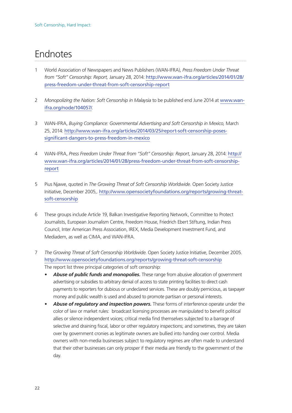## <span id="page-21-0"></span>Endnotes

- 1 World Association of Newspapers and News Publishers (WAN-IFRA), *Press Freedom Under Threat from "Soft" Censorship: Report,* January 28, 2014: [http://www.wan-ifra.org/articles/2014/01/28/](http://www.wan-ifra.org/articles/2014/01/28/press-freedom-under-threat-from-soft-censorship-report) [press-freedom-under-threat-from-soft-censorship-report](http://www.wan-ifra.org/articles/2014/01/28/press-freedom-under-threat-from-soft-censorship-report)
- 2 *Monopolizing the Nation: Soft Censorship in Malaysia* to be published end June 2014 at [www.wan](http://www.wan-ifra.org/articles/2014/06/02/just-published-soft-censorship-hard-impact)[ifra.org/node/104057/](http://www.wan-ifra.org/articles/2014/06/02/just-published-soft-censorship-hard-impact).
- 3 WAN-IFRA, *Buying Compliance: Governmental Advertising and Soft Censorship in Mexico,* March 25, 2014: [http://www.wan-ifra.org/articles/2014/03/25/report-soft-censorship-poses](http://www.wan-ifra.org/articles/2014/01/28/press-freedom-under-threat-from-soft-censorship-report)[significant-dangers-to-press-freedom-in-mexico](http://www.wan-ifra.org/articles/2014/01/28/press-freedom-under-threat-from-soft-censorship-report)
- 4 WAN-IFRA, *Press Freedom Under Threat from "Soft" Censorship: Report*, January 28, 2014: [http://](http://www.wan-ifra.org/articles/2014/01/28/press-freedom-under-threat-from-soft-censorship-report) [www.wan-ifra.org/articles/2014/01/28/press-freedom-under-threat-from-soft-censorship](http://www.wan-ifra.org/articles/2014/01/28/press-freedom-under-threat-from-soft-censorship-report)[report](http://www.wan-ifra.org/articles/2014/01/28/press-freedom-under-threat-from-soft-censorship-report)
- 5 Pius Njawe, quoted in *The Growing Threat of Soft Censorship Worldwide.* Open Society Justice Initiative, December 2005,. [http://www.opensocietyfoundations.org/reports/growing-threat](http://www.opensocietyfoundations.org/reports/growing-threat-soft-censorship)[soft-censorship](http://www.opensocietyfoundations.org/reports/growing-threat-soft-censorship)
- 6 These groups include Article 19, Balkan Investigative Reporting Network, Committee to Protect Journalists, European Journalism Centre, Freedom House, Friedrich Ebert Stiftung, Indian Press Council, Inter American Press Association, IREX, Media Development Investment Fund, and Mediadem, as well as CIMA, and WAN-IFRA.
- 7 *The Growing Threat of Soft Censorship Worldwide*. Open Society Justice Initiative, December 2005. <http://www.opensocietyfoundations.org/reports/growing-threat-soft-censorship> The report list three principal categories of soft censorship:
	- *• Abuse of public funds and monopolies.* These range from abusive allocation of government advertising or subsidies to arbitrary denial of access to state printing facilities to direct cash payments to reporters for dubious or undeclared services. These are doubly pernicious, as taxpayer money and public wealth is used and abused to promote partisan or personal interests.
	- *• Abuse of regulatory and inspection powers.* These forms of interference operate under the color of law or market rules: broadcast licensing processes are manipulated to benefit political allies or silence independent voices; critical media find themselves subjected to a barrage of selective and draining fiscal, labor or other regulatory inspections; and sometimes, they are taken over by government cronies as legitimate owners are bullied into handing over control. Media owners with non-media businesses subject to regulatory regimes are often made to understand that their other businesses can only prosper if their media are friendly to the government of the day.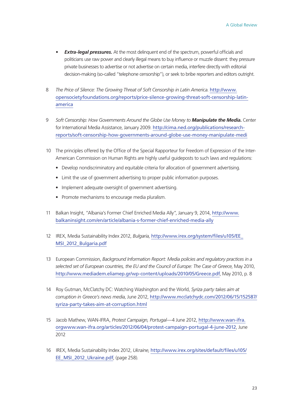- *• Extra-legal pressures.* At the most delinquent end of the spectrum, powerful officials and politicians use raw power and clearly illegal means to buy influence or muzzle dissent: they pressure private businesses to advertise or not advertise on certain media, interfere directly with editorial decision-making (so-called "telephone censorship"), or seek to bribe reporters and editors outright.
- 8 *The Price of Silence: The Growing Threat of Soft Censorship in Latin America*. [http://www.](http://www.opensocietyfoundations.org/reports/price-silence-growing-threat-soft-censorship-latin-america) [opensocietyfoundations.org/reports/price-silence-growing-threat-soft-censorship-latin](http://www.opensocietyfoundations.org/reports/price-silence-growing-threat-soft-censorship-latin-america)[america](http://www.opensocietyfoundations.org/reports/price-silence-growing-threat-soft-censorship-latin-america)
- 9 *Soft Censorship: How Governments Around the Globe Use Money to Manipulate the Media.* Center for International Media Assistance, January 2009. [http://cima.ned.org/publications/research](http://cima.ned.org/publications/research-reports/soft-censorship-how-governments-around-globe-use-money-manipulate-medi)[reports/soft-censorship-how-governments-around-globe-use-money-manipulate-medi](http://cima.ned.org/publications/research-reports/soft-censorship-how-governments-around-globe-use-money-manipulate-medi)
- 10 The principles offered by the Office of the Special Rapporteur for Freedom of Expression of the Inter-American Commission on Human Rights are highly useful guideposts to such laws and regulations:
	- Develop nondiscriminatory and equitable criteria for allocation of government advertising.
	- Limit the use of government advertising to proper public information purposes.
	- Implement adequate oversight of government advertising.
	- Promote mechanisms to encourage media pluralism.
- 11 Balkan Insight, "Albania's Former Chief Enriched Media Ally*"*, January 9, 2014, [http://www.](http://www.balkaninsight.com/en/article/albania-s-former-chief-enriched-media-ally) [balkaninsight.com/en/article/albania-s-former-chief-enriched-media-ally](http://www.balkaninsight.com/en/article/albania-s-former-chief-enriched-media-ally)
- 12 IREX, Media Sustainability Index 2012, *Bulgaria*, [http://www.irex.org/system/files/u105/EE\\_](http://www.irex.org/system/files/u105/EE_MSI_2012_Bulgaria.pdf) [MSI\\_2012\\_Bulgaria.pdf](http://www.irex.org/system/files/u105/EE_MSI_2012_Bulgaria.pdf)
- 13 European Commission, *Background Information Report: Media policies and regulatory practices in a selected set of European countries, the EU and the Council of Europe: The Case of Greece*, May 2010, <http://www.mediadem.eliamep.gr/wp-content/uploads/2010/05/Greece.pdf>, May 2010, p. 8
- 14 Roy Gutman, McClatchy DC: Watching Washington and the World, *Syriza party takes aim at corruption in Greece's news media*, June 2012, [http://www.mcclatchydc.com/2012/06/15/152587/](http://www.mcclatchydc.com/2012/06/15/152587/syriza-party-takes-aim-at-corruption.html) [syriza-party-takes-aim-at-corruption.html](http://www.mcclatchydc.com/2012/06/15/152587/syriza-party-takes-aim-at-corruption.html)
- 15 Jacob Mathew, WAN-IFRA, *Protest Campaign, Portugal*—4 June 2012, [http://www.wan-ifra.](http://www.wan-ifra.orgwww.wan-ifra.org/articles/2012/06/04/protest-campaign-portugal-4-june-2012) [orgwww.wan-ifra.org/articles/2012/06/04/protest-campaign-portugal-4-june-2012](http://www.wan-ifra.orgwww.wan-ifra.org/articles/2012/06/04/protest-campaign-portugal-4-june-2012), June 2012
- 16 IREX, Media Sustainability Index 2012, *Ukraine*, [http://www.irex.org/sites/default/files/u105/](http://www.irex.org/sites/default/files/u105/EE_MSI_2012_Ukraine.pdf) [EE\\_MSI\\_2012\\_Ukraine.pdf](http://www.irex.org/sites/default/files/u105/EE_MSI_2012_Ukraine.pdf), (page 258).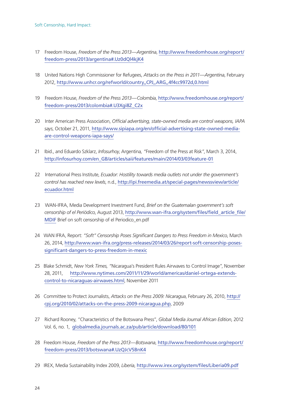- 17 Freedom House, *Freedom of the Press 2013—Argentina*, [http://www.freedomhouse.org/report/](http://www.freedomhouse.org/report/freedom-press/2013/argentina#.Uz0dQl4kjK4) [freedom-press/2013/argentina#.Uz0dQl4kjK4](http://www.freedomhouse.org/report/freedom-press/2013/argentina#.Uz0dQl4kjK4)
- 18 United Nations High Commissioner for Refugees, *Attacks on the Press in 2011—Argentina*, February 2012, <http://www.unhcr.org/refworld/country,,CPJ,,ARG,,4f4cc9972d,0.html>
- 19 Freedom House, *Freedom of the Press 2013—Colombia*, [http://www.freedomhouse.org/report/](http://www.freedomhouse.org/report/freedom-press/2013/colombia#.U3Xgi8Z_C2x) [freedom-press/2013/colombia#.U3Xgi8Z\\_C2x](http://www.freedomhouse.org/report/freedom-press/2013/colombia#.U3Xgi8Z_C2x)
- 20 Inter American Press Association, *Official advertising, state-owned media are control weapons, IAPA says*, October 21, 2011, [http://www.sipiapa.org/en/official-advertising-state-owned-media](http://www.sipiapa.org/en/official-advertising-state-owned-media-are-control-weapons-iapa-says/)[are-control-weapons-iapa-says/](http://www.sipiapa.org/en/official-advertising-state-owned-media-are-control-weapons-iapa-says/)
- 21 Ibid., and Eduardo Szklarz, *Infosurhoy*, Argentina*, "*Freedom of the Press at Risk*"*, March 3, 2014, [http://infosurhoy.com/en\\_GB/articles/saii/features/main/2014/03/03feature-01](http://infosurhoy.com/en_GB/articles/saii/features/main/2014/03/03feature-01)
- 22 International Press Institute, *Ecuador: Hostility towards media outlets not under the government's control has reached new levels*, n.d., [http://ipi.freemedia.at/special-pages/newssview/article/](http://ipi.freemedia.at/special-pages/newssview/article/ecuador.html) [ecuador.html](http://ipi.freemedia.at/special-pages/newssview/article/ecuador.html)
- 23 WAN-IFRA, Media Development Investment Fund, *Brief on the Guatemalan government's soft censorship of el Periódico*, August 2013, [http://www.wan-ifra.org/system/files/field\\_article\\_file/](http://www.wan-ifra.org/system/files/field_article_file/MDIF) [MDIF](http://www.wan-ifra.org/system/files/field_article_file/MDIF) Brief on soft censorship of el Periodico\_en.pdf
- 24 WAN IFRA, Report: *"Soft" Censorship Poses Significant Dangers to Press Freedom in Mexico*, March 26, 2014, [http://www.wan-ifra.org/press-releases/2014/03/26/report-soft-censorship-poses](http://www.wan-ifra.org/press-releases/2014/03/26/report-soft-censorship-poses-significant-dangers-to-press-freedom-in-mexic)[significant-dangers-to-press-freedom-in-mexic](http://www.wan-ifra.org/press-releases/2014/03/26/report-soft-censorship-poses-significant-dangers-to-press-freedom-in-mexic)
- 25 Blake Schmidt, *New York Times, "*Nicaragua's President Rules Airwaves to Control Image*"*, November 28, 2011, [http://www.nytimes.com/2011/11/29/world/americas/daniel-ortega-extends](http://www.nytimes.com/2011/11/29/world/americas/daniel-ortega-extends-control-to-nicaraguas-airwaves.html)[control-to-nicaraguas-airwaves.html](http://www.nytimes.com/2011/11/29/world/americas/daniel-ortega-extends-control-to-nicaraguas-airwaves.html), November 2011
- 26 Committee to Protect Journalists, *Attacks on the Press 2009: Nicaragua*, February 26, 2010, [http://](http://cpj.org/2010/02/attacks-on-the-press-2009-nicaragua.php) [cpj.org/2010/02/attacks-on-the-press-2009-nicaragua.php](http://cpj.org/2010/02/attacks-on-the-press-2009-nicaragua.php), 2009
- 27 Richard Rooney, "Characteristics of the Botswana Press", *Global Media Journal African Edition*, 2012 Vol. 6, no. 1, <globalmedia.journals.ac.za/pub/article/download/80/101>
- 28 Freedom House, *Freedom of the Press 2013—Botswana*, [http://www.freedomhouse.org/report/](http://www.freedomhouse.org/report/freedom-press/2013/botswana#.UzQJcV5BnK4) [freedom-press/2013/botswana#.UzQJcV5BnK4](http://www.freedomhouse.org/report/freedom-press/2013/botswana#.UzQJcV5BnK4)
- 29 IREX, Media Sustainability Index 2009, *Liberia*, <http://www.irex.org/system/files/Liberia09.pdf>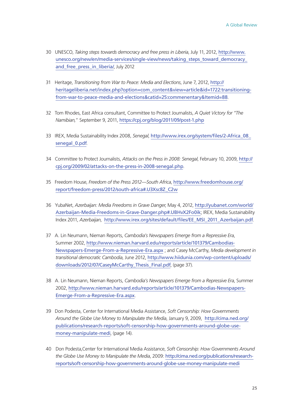- 30 UNESCO, *Taking steps towards democracy and free press in Liberia*, July 11, 2012, [http://www.](http://www.unesco.org/new/en/media-services/single-view/news/taking_steps_toward_democracy_and_free_press_in_liberia/) [unesco.org/new/en/media-services/single-view/news/taking\\_steps\\_toward\\_democracy\\_](http://www.unesco.org/new/en/media-services/single-view/news/taking_steps_toward_democracy_and_free_press_in_liberia/) [and\\_free\\_press\\_in\\_liberia/](http://www.unesco.org/new/en/media-services/single-view/news/taking_steps_toward_democracy_and_free_press_in_liberia/), July 2012
- 31 Heritage, *Transitioning from War to Peace: Media and Elections*, June 7, 2012, [http://](http://heritageliberia.net/index.php?option=com_content&view=article&id=1722:transitioning-from-war-to-peace-media-and-elections&catid=25:commenentary&Itemid=88) [heritageliberia.net/index.php?option=com\\_content&view=article&id=1722:transitioning](http://heritageliberia.net/index.php?option=com_content&view=article&id=1722:transitioning-from-war-to-peace-media-and-elections&catid=25:commenentary&Itemid=88)[from-war-to-peace-media-and-elections&catid=25:commenentary&Itemid=88](http://heritageliberia.net/index.php?option=com_content&view=article&id=1722:transitioning-from-war-to-peace-media-and-elections&catid=25:commenentary&Itemid=88).
- 32 Tom Rhodes, East Africa consultant, Committee to Protect Journalists, *A Quiet Victory for "The Namibian,*" September 9, 2011, <https://cpj.org/blog/2011/09/post-1.php>
- 33 IREX, Media Sustainability Index 2008, *Senegal*, [http://www.irex.org/system/files/2-Africa\\_08\\_](http://www.irex.org/system/files/2-Africa_08_senegal_0.pdf) senegal 0.pdf.
- 34 Committee to Protect Journalists, *Attacks on the Press in 2008: Senegal*, February 10, 2009, [http://](http://cpj.org/2009/02/attacks-on-the-press-in-2008-senegal.php) [cpj.org/2009/02/attacks-on-the-press-in-2008-senegal.php](http://cpj.org/2009/02/attacks-on-the-press-in-2008-senegal.php).
- 35 Freedom House, *Freedom of the Press 2012—South Africa*, [http://www.freedomhouse.org/](http://www.freedomhouse.org/report/freedom-press/2012/south-africa#.U3Xsc8Z_C2w) [report/freedom-press/2012/south-africa#.U3Xsc8Z\\_C2w](http://www.freedomhouse.org/report/freedom-press/2012/south-africa#.U3Xsc8Z_C2w)
- 36 YubaNet, *Azerbaijan: Media Freedoms in Grave Danger*, May 4, 2012, [http://yubanet.com/world/](http://yubanet.com/world/Azerbaijan-Media-Freedoms-in-Grave-Danger.php#.UBHvX2Fo0ik) [Azerbaijan-Media-Freedoms-in-Grave-Danger.php#.UBHvX2Fo0ik](http://yubanet.com/world/Azerbaijan-Media-Freedoms-in-Grave-Danger.php#.UBHvX2Fo0ik); IREX, Media Sustainability Index 2011, *Azerbaijan*, [http://www.irex.org/sites/default/files/EE\\_MSI\\_2011\\_Azerbaijan.pdf](http://www.irex.org/sites/default/files/EE_MSI_2011_Azerbaijan.pdf).
- 37 A. Lin Neumann, Nieman Reports, *Cambodia's Newspapers Emerge from a Repressive Era*, Summer 2002, [http://www.nieman.harvard.edu/reports/article/101379/Cambodias-](http://www.nieman.harvard.edu/reports/article/101379/Cambodias-Newspapers-Emerge-From-a-Repressive-Era.aspx)[Newspapers-Emerge-From-a-Repressive-Era.aspx](http://www.nieman.harvard.edu/reports/article/101379/Cambodias-Newspapers-Emerge-From-a-Repressive-Era.aspx) ; and Casey McCarthy, *Media development in transitional democratic Cambodia*, June 2012, [http://www.hiidunia.com/wp-content/uploads/](http://www.hiidunia.com/wp-content/uploads/downloads/2012/07/CaseyMcCarthy_Thesis_Final.pdf) [downloads/2012/07/CaseyMcCarthy\\_Thesis\\_Final.pdf](http://www.hiidunia.com/wp-content/uploads/downloads/2012/07/CaseyMcCarthy_Thesis_Final.pdf), (page 37).
- 38 A. Lin Neumann, Nieman Reports, *Cambodia's Newspapers Emerge from a Repressive Era*, Summer 2002, [http://www.nieman.harvard.edu/reports/article/101379/Cambodias-Newspapers-](http://www.nieman.harvard.edu/reports/article/101379/Cambodias-Newspapers-Emerge-From-a-Repressive-Era.aspx)[Emerge-From-a-Repressive-Era.aspx](http://www.nieman.harvard.edu/reports/article/101379/Cambodias-Newspapers-Emerge-From-a-Repressive-Era.aspx).
- 39 Don Podesta, Center for International Media Assistance, *Soft Censorship: How Governments Around the Globe Use Money to Manipulate the Media*, January 9, 2009, [http://cima.ned.org/](http://cima.ned.org/publications/research-reports/soft-censorship-how-governments-around-globe-use-money-manipulate-medi) publications/research-reports/soft-censorship-how-governments-around-globe-usemoney-manipulate-medi, (page 14).
- 40 Don Podesta,Center for International Media Assistance, *Soft Censorship: How Governments Around the Globe Use Money to Manipulate the Media*, 2009: [http://cima.ned.org/publications/research](http://cima.ned.org/publications/research-reports/soft-censorship-how-governments-around-globe-use-money-manipulate-medi)[reports/soft-censorship-how-governments-around-globe-use-money-manipulate-medi](http://cima.ned.org/publications/research-reports/soft-censorship-how-governments-around-globe-use-money-manipulate-medi)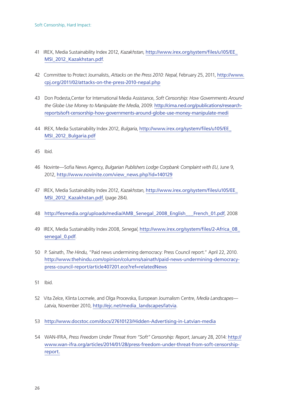- 41 IREX, Media Sustainability Index 2012, *Kazakhstan*, [http://www.irex.org/system/files/u105/EE\\_](http://www.irex.org/system/files/u105/EE_MSI_2012_Kazakhstan.pdf) [MSI\\_2012\\_Kazakhstan.pdf](http://www.irex.org/system/files/u105/EE_MSI_2012_Kazakhstan.pdf).
- 42 Committee to Protect Journalists, *Attacks on the Press 2010: Nepal*, February 25, 2011, [http://www.](http://www.cpj.org/2011/02/attacks-on-the-press-2010-nepal.php) [cpj.org/2011/02/attacks-on-the-press-2010-nepal.php](http://www.cpj.org/2011/02/attacks-on-the-press-2010-nepal.php)
- 43 Don Podesta,Center for International Media Assistance, *Soft Censorship: How Governments Around the Globe Use Money to Manipulate the Media*, 2009: [http://cima.ned.org/publications/research](http://cima.ned.org/publications/research-reports/soft-censorship-how-governments-around-globe-use-money-manipulate-medi)[reports/soft-censorship-how-governments-around-globe-use-money-manipulate-medi](http://cima.ned.org/publications/research-reports/soft-censorship-how-governments-around-globe-use-money-manipulate-medi)
- 44 IREX, Media Sustainability Index 2012, *Bulgaria*, [http://www.irex.org/system/files/u105/EE\\_](http://www.irex.org/system/files/u105/EE_MSI_2012_Bulgaria.pdf) [MSI\\_2012\\_Bulgaria.pdf](http://www.irex.org/system/files/u105/EE_MSI_2012_Bulgaria.pdf)
- 45 Ibid.
- 46 Novinte—Sofia News Agency, *Bulgarian Publishers Lodge Corpbank Complaint with EU*, June 9, 2012, [http://www.novinite.com/view\\_news.php?id=140129](http://www.novinite.com/view_news.php?id=140129)
- 47 IREX, Media Sustainability Index 2012, *Kazakhstan*, [http://www.irex.org/system/files/u105/EE\\_](http://www.irex.org/system/files/u105/EE_MSI_2012_Kazakhstan.pdf) [MSI\\_2012\\_Kazakhstan.pdf](http://www.irex.org/system/files/u105/EE_MSI_2012_Kazakhstan.pdf), (page 284).
- 48 [http://fesmedia.org/uploads/media/AMB\\_Senegal\\_2008\\_English\\_\\_\\_French\\_01.pdf](http://fesmedia.org/uploads/media/AMB_Senegal_2008_English___French_01.pdf), 2008
- 49 IREX, Media Sustainability Index 2008, *Senegal*, [http://www.irex.org/system/files/2-Africa\\_08\\_](http://www.irex.org/system/files/2-Africa_08_senegal_0.pdf) [senegal\\_0.pdf](http://www.irex.org/system/files/2-Africa_08_senegal_0.pdf).
- 50 P. Sainath, *The Hindu*, "Paid news undermining democracy: Press Council report." April 22, 2010. [http://www.thehindu.com/opinion/columns/sainath/paid-news-undermining-democracy](http://www.thehindu.com/opinion/columns/sainath/paid-news-undermining-democracy-press-council-report/article407201.ece?ref=relatedNews)[press-council-report/article407201.ece?ref=relatedNews](http://www.thehindu.com/opinion/columns/sainath/paid-news-undermining-democracy-press-council-report/article407201.ece?ref=relatedNews)
- 51 Ibid.
- 52 Vita Zelce, Klinta Locmele, and Olga Procevska, European Journalism Centre, *Media Landscapes— Latvia*, November 2010, [http://ejc.net/media\\_landscapes/latvia](http://ejc.net/media_landscapes/latvia).
- 53 <http://www.docstoc.com/docs/27610123/Hidden-Advertising-in-Latvian-media>
- 54 WAN-IFRA, *Press Freedom Under Threat from "Soft" Censorship: Report*, January 28, 2014: [http://](http://www.wan-ifra.org/articles/2014/01/28/press-freedom-under-threat-from-soft-censorship-report) [www.wan-ifra.org/articles/2014/01/28/press-freedom-under-threat-from-soft-censorship](http://www.wan-ifra.org/articles/2014/01/28/press-freedom-under-threat-from-soft-censorship-report)[report.](http://www.wan-ifra.org/articles/2014/01/28/press-freedom-under-threat-from-soft-censorship-report)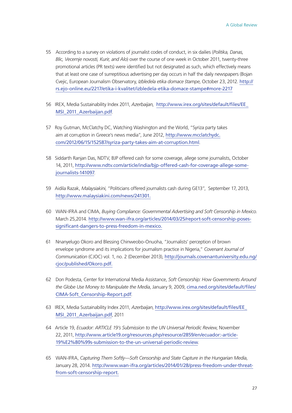- 55 According to a survey on violations of journalist codes of conduct, in six dailies (*Politika, Danas, Blic, Vecernje novosti, Kurir, and Alo*) over the course of one week in October 2011, twenty-three promotional articles (PR texts) were identified but not designated as such, which effectively means that at least one case of surreptitious advertising per day occurs in half the daily newspapers (Bojan Cvejic, European Journalism Observatory, *Izbledela etika domace štampe*, October 23, 2012. [http://](http://rs.ejo-online.eu/2217/etika-i-kvalitet/izbledela-etika-domace-stampe#more-2217) [rs.ejo-online.eu/2217/etika-i-kvalitet/izbledela-etika-domace-stampe#more-2217](http://rs.ejo-online.eu/2217/etika-i-kvalitet/izbledela-etika-domace-stampe#more-2217)
- 56 IREX, Media Sustainability Index 2011, *Azerbaijan*, [http://www.irex.org/sites/default/files/EE\\_](http://www.irex.org/sites/default/files/EE_MSI_2011_Azerbaijan.pdf) MSI 2011 Azerbaijan.pdf.
- 57 Roy Gutman, McClatchy DC, Watching Washington and the World, "Syriza party takes aim at corruption in Greece's news media", June 2012, [http://www.mcclatchydc.](http://www.mcclatchydc.com/2012/06/15/152587/syriza-party-takes-aim-at-corruption.html) [com/2012/06/15/152587/syriza-party-takes-aim-at-corruption.html](http://www.mcclatchydc.com/2012/06/15/152587/syriza-party-takes-aim-at-corruption.html).
- 58 Siddarth Ranjan Das, NDTV, BJP offered cash for some coverage, allege some journalists, October 14, 2011, [http://www.ndtv.com/article/india/bjp-offered-cash-for-coverage-allege-some](http://www.ndtv.com/article/india/bjp-offered-cash-for-coverage-allege-some-journalists-141097)[journalists-141097](http://www.ndtv.com/article/india/bjp-offered-cash-for-coverage-allege-some-journalists-141097).
- 59 Aidila Razak, *Malaysiakini*, "Politicians offered journalists cash during GE13", September 17, 2013, [http://www.malaysiakini.com/news/241301.](http://www.malaysiakini.com/news/241301)
- 60 WAN-IFRA and CIMA, *Buying Compliance: Governmental Advertising and Soft Censorship in Mexico*. March 25,2014. [http://www.wan-ifra.org/articles/2014/03/25/report-soft-censorship-poses](http://www.wan-ifra.org/articles/2014/03/25/report-soft-censorship-poses-significant-dangers-to-press-freedom-in-mexico)[significant-dangers-to-press-freedom-in-mexico](http://www.wan-ifra.org/articles/2014/03/25/report-soft-censorship-poses-significant-dangers-to-press-freedom-in-mexico).
- 61 Nnanyelugo Okoro and Blessing Chinweobo-Onuoha, "Journalists' perception of brown envelope syndrome and its implications for journalism practice in Nigeria," *Covenant Journal of Communication* (CJOC) vol. 1, no. 2 (December 2013), [http://journals.covenantuniversity.edu.ng/](http://journals.covenantuniversity.edu.ng/cjoc/published/Okoro.pdf) [cjoc/published/Okoro.pdf.](http://journals.covenantuniversity.edu.ng/cjoc/published/Okoro.pdf)
- 62 Don Podesta, Center for International Media Assistance, *Soft Censorship: How Governments Around the Globe Use Money to Manipulate the Media*, January 9, 2009, [cima.ned.org/sites/default/files/](cima.ned.org/sites/default/files/CIMA-Soft_Censorship-Report.pdf) [CIMA-Soft\\_Censorship-Report.pdf](cima.ned.org/sites/default/files/CIMA-Soft_Censorship-Report.pdf).
- 63 IREX, Media Sustainability Index 2011, *Azerbaijan*, [http://www.irex.org/sites/default/files/EE\\_](http://www.irex.org/sites/default/files/EE_MSI_2011_Azerbaijan.pdf) [MSI\\_2011\\_Azerbaijan.pdf](http://www.irex.org/sites/default/files/EE_MSI_2011_Azerbaijan.pdf), 2011
- 64 Article 19, *Ecuador: ARTICLE 19's Submission to the UN Universal Periodic Review*, November 22, 2011, [http://www.article19.org/resources.php/resource/2859/en/ecuador:-article-](http://www.article19.org/resources.php/resource/2859/en/ecuador:-article-19%E2%80%99s-submission-to-the-un-universal-periodic-review)[19%E2%80%99s-submission-to-the-un-universal-periodic-review](http://www.article19.org/resources.php/resource/2859/en/ecuador:-article-19%E2%80%99s-submission-to-the-un-universal-periodic-review).
- 65 WAN-IFRA, *Capturing Them Softly—Soft Censorship and State Capture in the Hungarian Media*, January 28, 2014. [http://www.wan-ifra.org/articles/2014/01/28/press-freedom-under-threat](http://www.wan-ifra.org/articles/2014/01/28/press-freedom-under-threat-from-soft-censorship-report)[from-soft-censorship-report.](http://www.wan-ifra.org/articles/2014/01/28/press-freedom-under-threat-from-soft-censorship-report)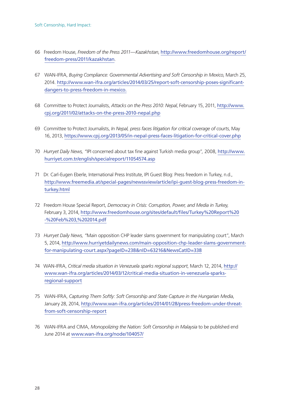- 66 Freedom House, *Freedom of the Press 2011—Kazakhstan*, [http://www.freedomhouse.org/report/](http://www.freedomhouse.org/report/freedom-press/2011/kazakhstan) [freedom-press/2011/kazakhstan](http://www.freedomhouse.org/report/freedom-press/2011/kazakhstan).
- 67 WAN-IFRA, *Buying Compliance: Governmental Advertising and Soft Censorship in Mexico*, March 25, 2014. [http://www.wan-ifra.org/articles/2014/03/25/report-soft-censorship-poses-significant](http://www.wan-ifra.org/articles/2014/03/25/report-soft-censorship-poses-significant-dangers-to-press-freedom-in-mexico)[dangers-to-press-freedom-in-mexico.](http://www.wan-ifra.org/articles/2014/03/25/report-soft-censorship-poses-significant-dangers-to-press-freedom-in-mexico)
- 68 Committee to Protect Journalists, *Attacks on the Press 2010: Nepal*, February 15, 2011, [http://www.](http://www.cpj.org/2011/02/attacks-on-the-press-2010-nepal.php) [cpj.org/2011/02/attacks-on-the-press-2010-nepal.php](http://www.cpj.org/2011/02/attacks-on-the-press-2010-nepal.php)
- 69 Committee to Protect Journalists, *In Nepal, press faces litigation for critical coverage of courts*, May 16, 2013, <https://www.cpj.org/2013/05/in-nepal-press-faces-litigation-for-critical-cover.php>
- 70 *Hurryet Daily News, "*IPI concerned about tax fine against Turkish media group"*,* 2008, [http://www.](http://www.hurriyet.com.tr/english/specialreport/11054574.asp) [hurriyet.com.tr/english/specialreport/11054574.asp](http://www.hurriyet.com.tr/english/specialreport/11054574.asp)
- 71 Dr. Carl-Eugen Eberle, International Press Institute, IPI Guest Blog: Press freedom in Turkey, n.d., [http://www.freemedia.at/special-pages/newssview/article/ipi-guest-blog-press-freedom-in](http://www.freemedia.at/special-pages/newssview/article/ipi-guest-blog-press-freedom-in-turkey.html)[turkey.html](http://www.freemedia.at/special-pages/newssview/article/ipi-guest-blog-press-freedom-in-turkey.html)
- 72 Freedom House Special Report, *Democracy in Crisis: Corruption, Power, and Media in Turkey,* February 3, 2014, [http://www.freedomhouse.org/sites/default/files/Turkey%20Report%20](http://www.freedomhouse.org/sites/default/files/Turkey%20Report%20-%20Feb%203,%202014.pdf) [-%20Feb%203,%202014.pdf](http://www.freedomhouse.org/sites/default/files/Turkey%20Report%20-%20Feb%203,%202014.pdf)
- 73 *Hurryet Daily News, "*Main opposition CHP leader slams government for manipulating court", March 5, 2014, [http://www.hurriyetdailynews.com/main-opposition-chp-leader-slams-government](http://www.hurriyetdailynews.com/main-opposition-chp-leader-slams-government-for-manipulating-court.aspx?pageID=238&nID=63216&NewsCatID=338)[for-manipulating-court.aspx?pageID=238&nID=63216&NewsCatID=338](http://www.hurriyetdailynews.com/main-opposition-chp-leader-slams-government-for-manipulating-court.aspx?pageID=238&nID=63216&NewsCatID=338)
- 74 WAN-IFRA, *Critical media situation in Venezuela sparks regional support*, March 12, 2014, [http://](http://www.wan-ifra.org/articles/2014/03/12/critical-media-situation-in-venezuela-sparks-regional-support) [www.wan-ifra.org/articles/2014/03/12/critical-media-situation-in-venezuela-sparks](http://www.wan-ifra.org/articles/2014/03/12/critical-media-situation-in-venezuela-sparks-regional-support)[regional-support](http://www.wan-ifra.org/articles/2014/03/12/critical-media-situation-in-venezuela-sparks-regional-support)
- 75 WAN-IFRA, *Capturing Them Softly: Soft Censorship and State Capture in the Hungarian Media*, January 28, 2014, [http://www.wan-ifra.org/articles/2014/01/28/press-freedom-under-threat](http://www.wan-ifra.org/articles/2014/01/28/press-freedom-under-threat-from-soft-censorship-report)[from-soft-censorship-report](http://www.wan-ifra.org/articles/2014/01/28/press-freedom-under-threat-from-soft-censorship-report)
- 76 WAN-IFRA and CIMA, *Monopolizing the Nation: Soft Censorship in Malaysia* to be published end June 2014 at <www.wan-ifra.org/node/104057/>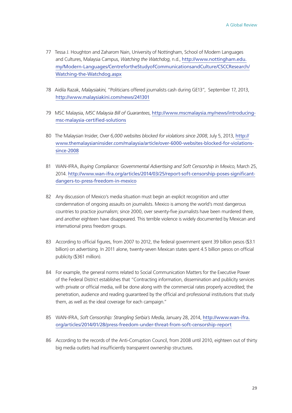- 77 Tessa J. Houghton and Zaharom Nain, University of Nottingham, School of Modern Languages and Cultures, Malaysia Campus, *Watching the Watchdog*, n.d., [http://www.nottingham.edu.](http://www.nottingham.edu.my/Modern-Languages/CentrefortheStudyofCommunicationsandCulture/CSCCResearch/Watching-the-Watchdog.aspx) [my/Modern-Languages/CentrefortheStudyofCommunicationsandCulture/CSCCResearch/](http://www.nottingham.edu.my/Modern-Languages/CentrefortheStudyofCommunicationsandCulture/CSCCResearch/Watching-the-Watchdog.aspx) [Watching-the-Watchdog.aspx](http://www.nottingham.edu.my/Modern-Languages/CentrefortheStudyofCommunicationsandCulture/CSCCResearch/Watching-the-Watchdog.aspx)
- 78 Aidila Razak, *Malaysiakini*, "Politicians offered journalists cash during GE13", September 17, 2013, <http://www.malaysiakini.com/news/241301>
- 79 MSC Malaysia, *MSC Malaysia Bill of Guarantees*, [http://www.mscmalaysia.my/news/introducing](http://www.mscmalaysia.my/news/introducing-msc-malaysia-certified-solutions)[msc-malaysia-certified-solutions](http://www.mscmalaysia.my/news/introducing-msc-malaysia-certified-solutions)
- 80 The Malaysian Insider, *Over 6,000 websites blocked for violations since 2008*, July 5, 2013, [http://](http://www.themalaysianinsider.com/malaysia/article/over-6000-websites-blocked-for-violations-since-2008) [www.themalaysianinsider.com/malaysia/article/over-6000-websites-blocked-for-violations](http://www.themalaysianinsider.com/malaysia/article/over-6000-websites-blocked-for-violations-since-2008)[since-2008](http://www.themalaysianinsider.com/malaysia/article/over-6000-websites-blocked-for-violations-since-2008)
- 81 WAN-IFRA, *Buying Compliance: Governmental Advertising and Soft Censorship in Mexico*, March 25, 2014. [http://www.wan-ifra.org/articles/2014/03/25/report-soft-censorship-poses-significant](http://www.wan-ifra.org/articles/2014/03/25/report-soft-censorship-poses-significant-dangers-to-press-freedom-in-mexico)[dangers-to-press-freedom-in-mexico](http://www.wan-ifra.org/articles/2014/03/25/report-soft-censorship-poses-significant-dangers-to-press-freedom-in-mexico)
- 82 Any discussion of Mexico's media situation must begin an explicit recognition and utter condemnation of ongoing assaults on journalists. Mexico is among the world's most dangerous countries to practice journalism; since 2000, over seventy-five journalists have been murdered there, and another eighteen have disappeared. This terrible violence is widely documented by Mexican and international press freedom groups.
- 83 According to official figures, from 2007 to 2012, the federal government spent 39 billion pesos (\$3.1 billion) on advertising. In 2011 alone, twenty-seven Mexican states spent 4.5 billion pesos on official publicity (\$361 million).
- 84 For example, the general norms related to Social Communication Matters for the Executive Power of the Federal District establishes that "Contracting information, dissemination and publicity services with private or official media, will be done along with the commercial rates properly accredited; the penetration, audience and reading guaranteed by the official and professional institutions that study them, as well as the ideal coverage for each campaign."
- 85 WAN-IFRA, *Soft Censorship: Strangling Serbia's Media*, January 28, 2014, [http://www.wan-ifra.](http://www.wan-ifra.org/articles/2014/01/28/press-freedom-under-threat-from-soft-censorship-report) [org/articles/2014/01/28/press-freedom-under-threat-from-soft-censorship-report](http://www.wan-ifra.org/articles/2014/01/28/press-freedom-under-threat-from-soft-censorship-report)
- 86 According to the records of the Anti-Corruption Council, from 2008 until 2010, eighteen out of thirty big media outlets had insufficiently transparent ownership structures.